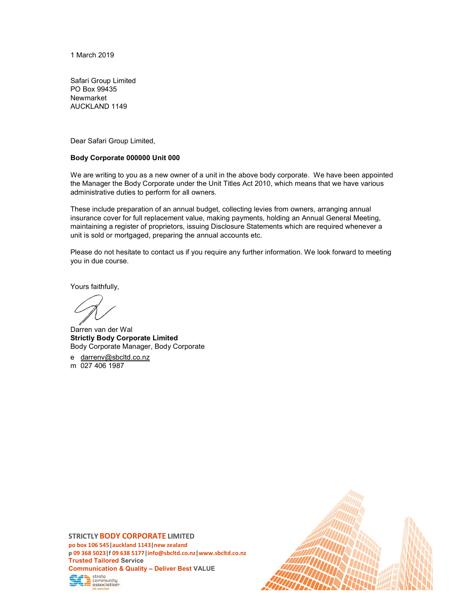1 March 2019

Safari Group Limited PO Box 99435 Newmarket AUCKLAND 1149

Dear Safari Group Limited,

#### Body Corporate 000000 Unit 000

We are writing to you as a new owner of a unit in the above body corporate. We have been appointed the Manager the Body Corporate under the Unit Titles Act 2010, which means that we have various administrative duties to perform for all owners.

These include preparation of an annual budget, collecting levies from owners, arranging annual insurance cover for full replacement value, making payments, holding an Annual General Meeting, maintaining a register of proprietors, issuing Disclosure Statements which are required whenever a unit is sold or mortgaged, preparing the annual accounts etc.

Please do not hesitate to contact us if you require any further information. We look forward to meeting you in due course.

Yours faithfully,

Darren van der Wal Strictly Body Corporate Limited Body Corporate Manager, Body Corporate

e darrenv@sbcltd.co.nz m 027 406 1987

#### STRICTLY BODY CORPORATE LIMITED

po box 106 545|auckland 1143|new zealand p 09 368 5023|f 09 638 5177|info@sbcltd.co.nz|www.sbcltd.co.nz Trusted Tailored Service Communication & Quality – Deliver Best VALUE strata community association

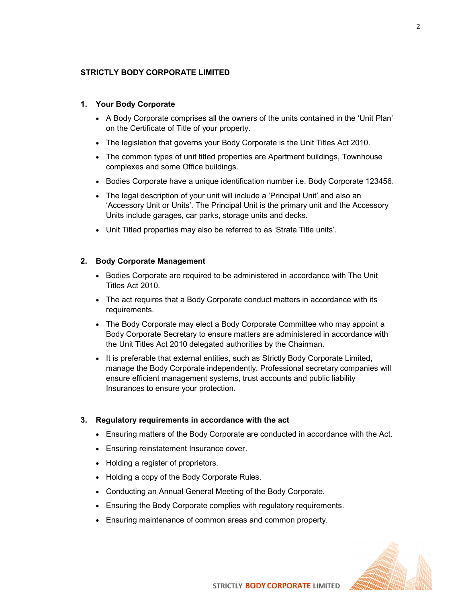## STRICTLY BODY CORPORATE LIMITED

## 1. Your Body Corporate

- A Body Corporate comprises all the owners of the units contained in the 'Unit Plan' on the Certificate of Title of your property.
- The legislation that governs your Body Corporate is the Unit Titles Act 2010.
- The common types of unit titled properties are Apartment buildings, Townhouse complexes and some Office buildings.
- Bodies Corporate have a unique identification number i.e. Body Corporate 123456.
- The legal description of your unit will include a 'Principal Unit' and also an 'Accessory Unit or Units'. The Principal Unit is the primary unit and the Accessory Units include garages, car parks, storage units and decks.
- Unit Titled properties may also be referred to as 'Strata Title units'.

# 2. Body Corporate Management

- Bodies Corporate are required to be administered in accordance with The Unit Titles Act 2010.
- The act requires that a Body Corporate conduct matters in accordance with its requirements.
- The Body Corporate may elect a Body Corporate Committee who may appoint a Body Corporate Secretary to ensure matters are administered in accordance with the Unit Titles Act 2010 delegated authorities by the Chairman.
- It is preferable that external entities, such as Strictly Body Corporate Limited, manage the Body Corporate independently. Professional secretary companies will ensure efficient management systems, trust accounts and public liability Insurances to ensure your protection.

### 3. Regulatory requirements in accordance with the act

- Ensuring matters of the Body Corporate are conducted in accordance with the Act.
- Ensuring reinstatement Insurance cover.
- Holding a register of proprietors.
- Holding a copy of the Body Corporate Rules.
- Conducting an Annual General Meeting of the Body Corporate.
- Ensuring the Body Corporate complies with regulatory requirements.
- Ensuring maintenance of common areas and common property.